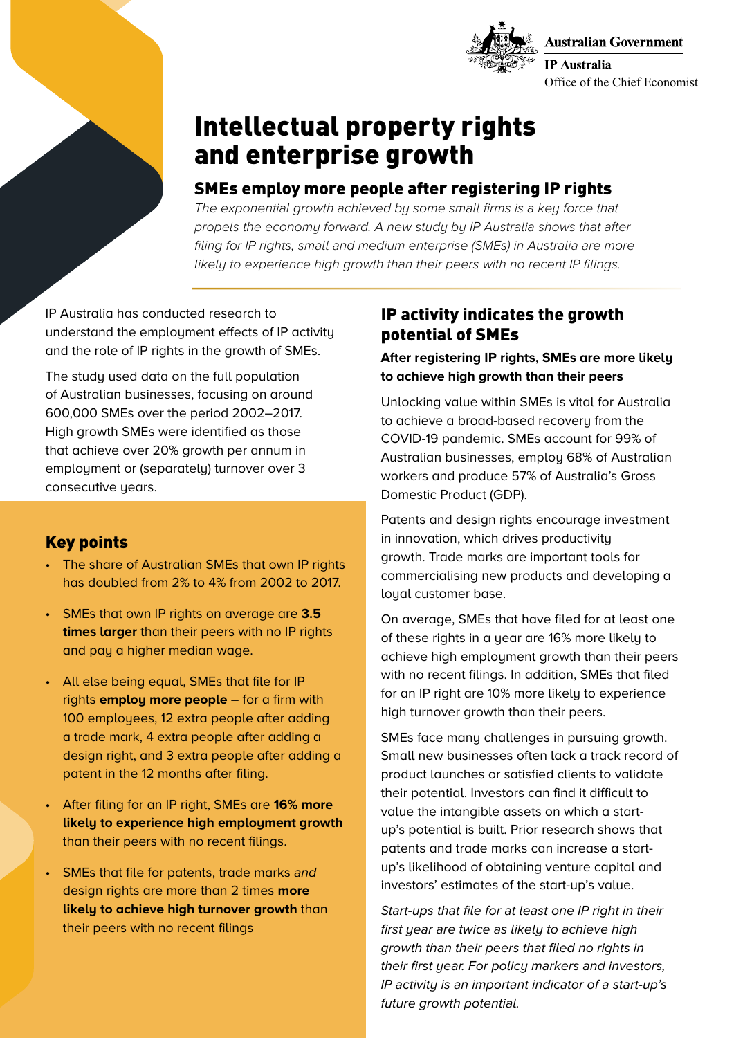



# Intellectual property rights and enterprise growth

## SMEs employ more people after registering IP rights

*The exponential growth achieved by some small firms is a key force that propels the economy forward. A new study by IP Australia shows that after filing for IP rights, small and medium enterprise (SMEs) in Australia are more likely to experience high growth than their peers with no recent IP filings.*

IP Australia has conducted research to understand the employment effects of IP activity and the role of IP rights in the growth of SMEs.

The study used data on the full population of Australian businesses, focusing on around 600,000 SMEs over the period 2002–2017. High growth SMEs were identified as those that achieve over 20% growth per annum in employment or (separately) turnover over 3 consecutive years.

## Key points

- The share of Australian SMEs that own IP rights has doubled from 2% to 4% from 2002 to 2017.
- SMEs that own IP rights on average are **3.5 times larger** than their peers with no IP rights and pay a higher median wage.
- All else being equal, SMEs that file for IP rights **employ more people** – for a firm with 100 employees, 12 extra people after adding a trade mark, 4 extra people after adding a design right, and 3 extra people after adding a patent in the 12 months after filing.
- After filing for an IP right, SMEs are **16% more likely to experience high employment growth** than their peers with no recent filings.
- SMEs that file for patents, trade marks *and* design rights are more than 2 times **more likely to achieve high turnover growth** than their peers with no recent filings

## IP activity indicates the growth potential of SMEs

### **After registering IP rights, SMEs are more likely to achieve high growth than their peers**

Unlocking value within SMEs is vital for Australia to achieve a broad-based recovery from the COVID-19 pandemic. SMEs account for 99% of Australian businesses, employ 68% of Australian workers and produce 57% of Australia's Gross Domestic Product (GDP).

Patents and design rights encourage investment in innovation, which drives productivity growth. Trade marks are important tools for commercialising new products and developing a loual customer base.

On average, SMEs that have filed for at least one of these rights in a year are 16% more likely to achieve high employment growth than their peers with no recent filings. In addition, SMEs that filed for an IP right are 10% more likely to experience high turnover growth than their peers.

SMEs face many challenges in pursuing growth. Small new businesses often lack a track record of product launches or satisfied clients to validate their potential. Investors can find it difficult to value the intangible assets on which a startup's potential is built. Prior research shows that patents and trade marks can increase a startup's likelihood of obtaining venture capital and investors' estimates of the start-up's value.

*Start-ups that file for at least one IP right in their first year are twice as likely to achieve high growth than their peers that filed no rights in their first year. For policy markers and investors, IP activity is an important indicator of a start-up's future growth potential.*